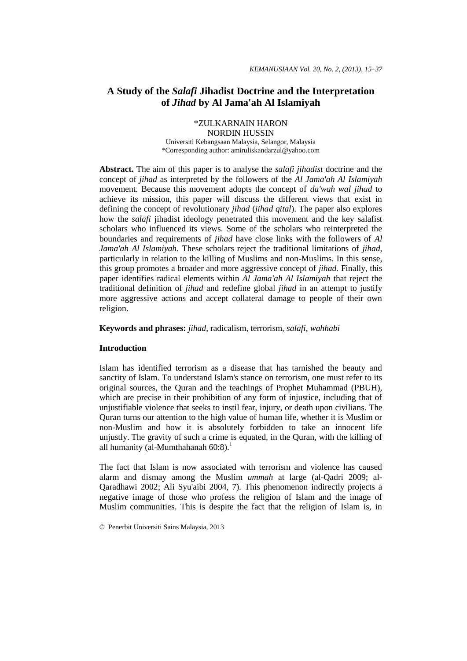# **A Study of the** *Salafi* **Jihadist Doctrine and the Interpretation of** *Jihad* **by Al Jama'ah Al Islamiyah**

\*ZULKARNAIN HARON NORDIN HUSSIN Universiti Kebangsaan Malaysia, Selangor, Malaysia \*Corresponding author: amiruliskandarzul@yahoo.com

**Abstract.** The aim of this paper is to analyse the *salafi jihadist* doctrine and the concept of *jihad* as interpreted by the followers of the *Al Jama'ah Al Islamiyah* movement. Because this movement adopts the concept of *da'wah wal jihad* to achieve its mission, this paper will discuss the different views that exist in defining the concept of revolutionary *jihad* (*jihad qital*). The paper also explores how the *salafi* jihadist ideology penetrated this movement and the key salafist scholars who influenced its views. Some of the scholars who reinterpreted the boundaries and requirements of *jihad* have close links with the followers of *Al Jama'ah Al Islamiyah*. These scholars reject the traditional limitations of *jihad*, particularly in relation to the killing of Muslims and non-Muslims. In this sense, this group promotes a broader and more aggressive concept of *jihad*. Finally, this paper identifies radical elements within *Al Jama'ah Al Islamiyah* that reject the traditional definition of *jihad* and redefine global *jihad* in an attempt to justify more aggressive actions and accept collateral damage to people of their own religion.

## **Keywords and phrases:** *jihad*, radicalism, terrorism, *salafi*, *wahhabi*

# **Introduction**

Islam has identified terrorism as a disease that has tarnished the beauty and sanctity of Islam. To understand Islam's stance on terrorism, one must refer to its original sources, the Quran and the teachings of Prophet Muhammad (PBUH), which are precise in their prohibition of any form of injustice, including that of unjustifiable violence that seeks to instil fear, injury, or death upon civilians. The Quran turns our attention to the high value of human life, whether it is Muslim or non-Muslim and how it is absolutely forbidden to take an innocent life unjustly. The gravity of such a crime is equated, in the Quran, with the killing of all humanity (al-Mumthahanah 60:8).<sup>1</sup>

The fact that Islam is now associated with terrorism and violence has caused alarm and dismay among the Muslim *ummah* at large (al-Qadri 2009; al-Qaradhawi 2002; Ali Syu'aibi 2004, 7)*.* This phenomenon indirectly projects a negative image of those who profess the religion of Islam and the image of Muslim communities. This is despite the fact that the religion of Islam is, in

<sup>©</sup> Penerbit Universiti Sains Malaysia, 2013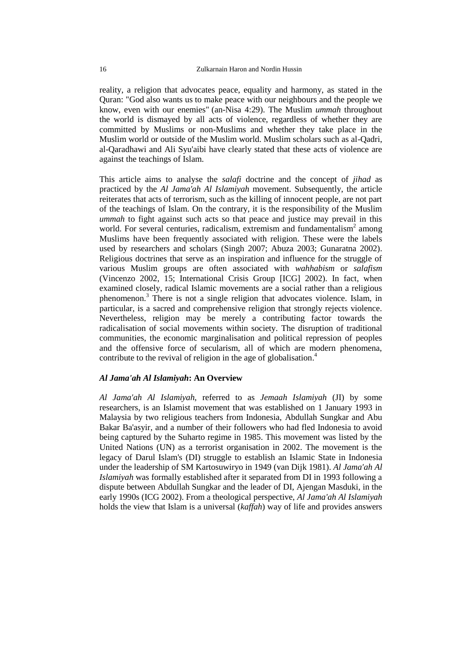reality, a religion that advocates peace, equality and harmony, as stated in the Quran: "God also wants us to make peace with our neighbours and the people we know, even with our enemies" (an-Nisa 4:29). The Muslim *ummah* throughout the world is dismayed by all acts of violence, regardless of whether they are committed by Muslims or non-Muslims and whether they take place in the Muslim world or outside of the Muslim world. Muslim scholars such as al-Qadri, al-Qaradhawi and Ali Syu'aibi have clearly stated that these acts of violence are against the teachings of Islam.

This article aims to analyse the *salafi* doctrine and the concept of *jihad* as practiced by the *Al Jama'ah Al Islamiyah* movement. Subsequently, the article reiterates that acts of terrorism, such as the killing of innocent people, are not part of the teachings of Islam. On the contrary, it is the responsibility of the Muslim *ummah* to fight against such acts so that peace and justice may prevail in this world. For several centuries, radicalism, extremism and fundamentalism<sup>2</sup> among Muslims have been frequently associated with religion. These were the labels used by researchers and scholars (Singh 2007; Abuza 2003; Gunaratna 2002). Religious doctrines that serve as an inspiration and influence for the struggle of various Muslim groups are often associated with *wahhabism* or *salafism* (Vincenzo 2002, 15; International Crisis Group [ICG] 2002). In fact, when examined closely, radical Islamic movements are a social rather than a religious phenomenon. <sup>3</sup> There is not a single religion that advocates violence. Islam, in particular, is a sacred and comprehensive religion that strongly rejects violence. Nevertheless, religion may be merely a contributing factor towards the radicalisation of social movements within society. The disruption of traditional communities, the economic marginalisation and political repression of peoples and the offensive force of secularism, all of which are modern phenomena, contribute to the revival of religion in the age of globalisation.<sup>4</sup>

## *Al Jama'ah Al Islamiyah***: An Overview**

*Al Jama'ah Al Islamiyah*, referred to as *Jemaah Islamiyah* (JI) by some researchers, is an Islamist movement that was established on 1 January 1993 in Malaysia by two religious teachers from Indonesia, Abdullah Sungkar and Abu Bakar Ba'asyir, and a number of their followers who had fled Indonesia to avoid being captured by the Suharto regime in 1985. This movement was listed by the United Nations (UN) as a terrorist organisation in 2002. The movement is the legacy of Darul Islam's (DI) struggle to establish an Islamic State in Indonesia under the leadership of SM Kartosuwiryo in 1949 (van Dijk 1981). *Al Jama'ah Al Islamiyah* was formally established after it separated from DI in 1993 following a dispute between Abdullah Sungkar and the leader of DI, Ajengan Masduki, in the early 1990s (ICG 2002). From a theological perspective, *Al Jama'ah Al Islamiyah*  holds the view that Islam is a universal (*kaffah*) way of life and provides answers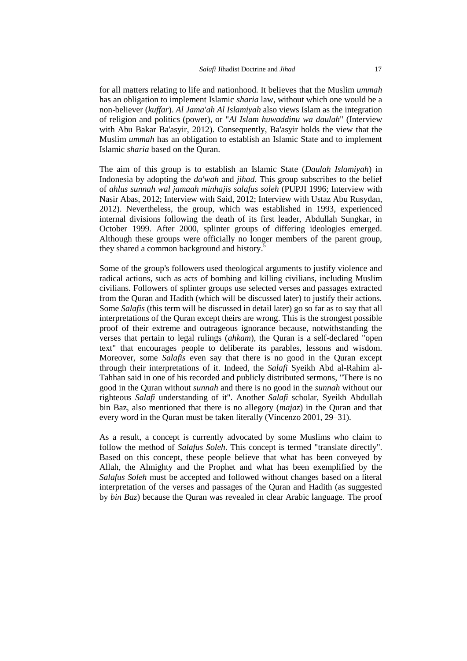for all matters relating to life and nationhood. It believes that the Muslim *ummah* has an obligation to implement Islamic *sharia* law, without which one would be a non-believer (*kuffar*). *Al Jama'ah Al Islamiyah* also views Islam as the integration of religion and politics (power), or "*Al Islam huwaddinu wa daulah*" (Interview with Abu Bakar Ba'asyir, 2012). Consequently, Ba'asyir holds the view that the Muslim *ummah* has an obligation to establish an Islamic State and to implement Islamic *sharia* based on the Quran.

The aim of this group is to establish an Islamic State (*Daulah Islamiyah*) in Indonesia by adopting the *da'wah* and *jihad*. This group subscribes to the belief of *ahlus sunnah wal jamaah minhajis salafus soleh* (PUPJI 1996; Interview with Nasir Abas, 2012; Interview with Said, 2012; Interview with Ustaz Abu Rusydan, 2012). Nevertheless, the group, which was established in 1993, experienced internal divisions following the death of its first leader, Abdullah Sungkar, in October 1999. After 2000, splinter groups of differing ideologies emerged. Although these groups were officially no longer members of the parent group, they shared a common background and history.<sup>5</sup>

Some of the group's followers used theological arguments to justify violence and radical actions, such as acts of bombing and killing civilians, including Muslim civilians. Followers of splinter groups use selected verses and passages extracted from the Quran and Hadith (which will be discussed later) to justify their actions. Some *Salafis* (this term will be discussed in detail later) go so far as to say that all interpretations of the Quran except theirs are wrong. This is the strongest possible proof of their extreme and outrageous ignorance because, notwithstanding the verses that pertain to legal rulings (*ahkam*), the Quran is a self-declared "open text" that encourages people to deliberate its parables, lessons and wisdom. Moreover, some *Salafis* even say that there is no good in the Quran except through their interpretations of it. Indeed, the *Salafi* Syeikh Abd al-Rahim al-Tahhan said in one of his recorded and publicly distributed sermons, "There is no good in the Quran without *sunnah* and there is no good in the *sunnah* without our righteous *Salafi* understanding of it". Another *Salafi* scholar, Syeikh Abdullah bin Baz, also mentioned that there is no allegory (*majaz*) in the Quran and that every word in the Quran must be taken literally (Vincenzo 2001, 29–31).

As a result, a concept is currently advocated by some Muslims who claim to follow the method of *Salafus Soleh*. This concept is termed "translate directly". Based on this concept, these people believe that what has been conveyed by Allah, the Almighty and the Prophet and what has been exemplified by the *Salafus Soleh* must be accepted and followed without changes based on a literal interpretation of the verses and passages of the Quran and Hadith (as suggested by *bin Baz*) because the Quran was revealed in clear Arabic language. The proof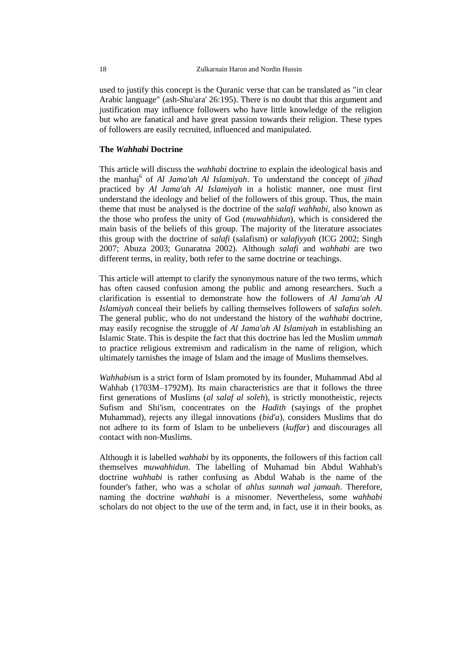used to justify this concept is the Quranic verse that can be translated as "in clear Arabic language" (ash-Shu'ara' 26:195). There is no doubt that this argument and justification may influence followers who have little knowledge of the religion but who are fanatical and have great passion towards their religion. These types of followers are easily recruited, influenced and manipulated.

## **The** *Wahhabi* **Doctrine**

This article will discuss the *wahhabi* doctrine to explain the ideological basis and the manhaj<sup>6</sup> of *Al Jama'ah Al Islamiyah*. To understand the concept of *jihad* practiced by *Al Jama'ah Al Islamiyah* in a holistic manner, one must first understand the ideology and belief of the followers of this group. Thus, the main theme that must be analysed is the doctrine of the *salafi wahhabi,* also known as the those who profess the unity of God (*muwahhidun*), which is considered the main basis of the beliefs of this group. The majority of the literature associates this group with the doctrine of *salafi* (salafism) or *salafiyyah* (ICG 2002; Singh 2007; Abuza 2003; Gunaratna 2002). Although *salafi* and *wahhabi* are two different terms, in reality, both refer to the same doctrine or teachings.

This article will attempt to clarify the synonymous nature of the two terms, which has often caused confusion among the public and among researchers. Such a clarification is essential to demonstrate how the followers of *Al Jama'ah Al Islamiyah* conceal their beliefs by calling themselves followers of *salafus soleh*. The general public, who do not understand the history of the *wahhabi* doctrine, may easily recognise the struggle of *Al Jama'ah Al Islamiyah* in establishing an Islamic State. This is despite the fact that this doctrine has led the Muslim *ummah* to practice religious extremism and radicalism in the name of religion, which ultimately tarnishes the image of Islam and the image of Muslims themselves.

*Wahhabi*sm is a strict form of Islam promoted by its founder, Muhammad Abd al Wahhab (1703M–1792M). Its main characteristics are that it follows the three first generations of Muslims (*al salaf al soleh*), is strictly monotheistic, rejects Sufism and Shi'ism, concentrates on the *Hadith* (sayings of the prophet Muhammad), rejects any illegal innovations (*bid'a*), considers Muslims that do not adhere to its form of Islam to be unbelievers (*kuffar*) and discourages all contact with non-Muslims.

Although it is labelled *wahhabi* by its opponents, the followers of this faction call themselves *muwahhidun*. The labelling of Muhamad bin Abdul Wahhab's doctrine *wahhabi* is rather confusing as Abdul Wahab is the name of the founder's father, who was a scholar of *ahlus sunnah wal jamaah*. Therefore, naming the doctrine *wahhabi* is a misnomer. Nevertheless, some *wahhabi* scholars do not object to the use of the term and, in fact, use it in their books, as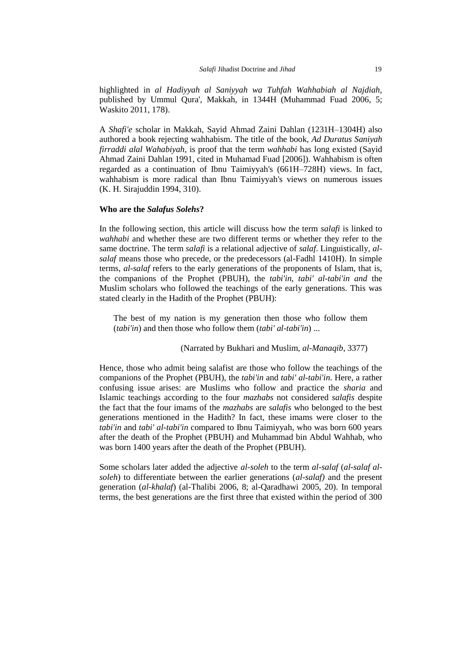highlighted in *al Hadiyyah al Saniyyah wa Tuhfah Wahhabiah al Najdiah,*  published by Ummul Qura', Makkah, in 1344H (Muhammad Fuad 2006, 5; Waskito 2011, 178).

A *Shafi'e* scholar in Makkah, Sayid Ahmad Zaini Dahlan (1231H–1304H) also authored a book rejecting wahhabism. The title of the book, *Ad Duratus Saniyah firraddi alal Wahabiyah*, is proof that the term *wahhabi* has long existed (Sayid Ahmad Zaini Dahlan 1991, cited in Muhamad Fuad [2006]). Wahhabism is often regarded as a continuation of Ibnu Taimiyyah's (661H–728H) views. In fact, wahhabism is more radical than Ibnu Taimiyyah's views on numerous issues (K. H. Sirajuddin 1994, 310).

#### **Who are the** *Salafus Solehs***?**

In the following section, this article will discuss how the term *salafi* is linked to *wahhabi* and whether these are two different terms or whether they refer to the same doctrine. The term *salafi* is a relational adjective of *salaf*. Linguistically, *alsalaf* means those who precede, or the predecessors (al-Fadhl 1410H). In simple terms, *al-salaf* refers to the early generations of the proponents of Islam, that is, the companions of the Prophet (PBUH), the *tabi'in*, *tabi' al-tabi'in and* the Muslim scholars who followed the teachings of the early generations. This was stated clearly in the Hadith of the Prophet (PBUH):

The best of my nation is my generation then those who follow them (*tabi'in*) and then those who follow them (*tabi' al-tabi'in*) ...

(Narrated by Bukhari and Muslim, *al-Manaqib*, 3377)

Hence, those who admit being salafist are those who follow the teachings of the companions of the Prophet (PBUH), the *tabi'in* and *tabi' al-tabi'in*. Here, a rather confusing issue arises: are Muslims who follow and practice the *sharia* and Islamic teachings according to the four *mazhabs* not considered *salafis* despite the fact that the four imams of the *mazhabs* are *salafis* who belonged to the best generations mentioned in the Hadith? In fact, these imams were closer to the *tabi'in* and *tabi' al-tabi'in* compared to Ibnu Taimiyyah, who was born 600 years after the death of the Prophet (PBUH) and Muhammad bin Abdul Wahhab, who was born 1400 years after the death of the Prophet (PBUH).

Some scholars later added the adjective *al-soleh* to the term *al-salaf* (*al-salaf alsoleh*) to differentiate between the earlier generations (*al-salaf)* and the present generation (*al-khalaf*) (al-Thalibi 2006, 8; al-Qaradhawi 2005, 20). In temporal terms, the best generations are the first three that existed within the period of 300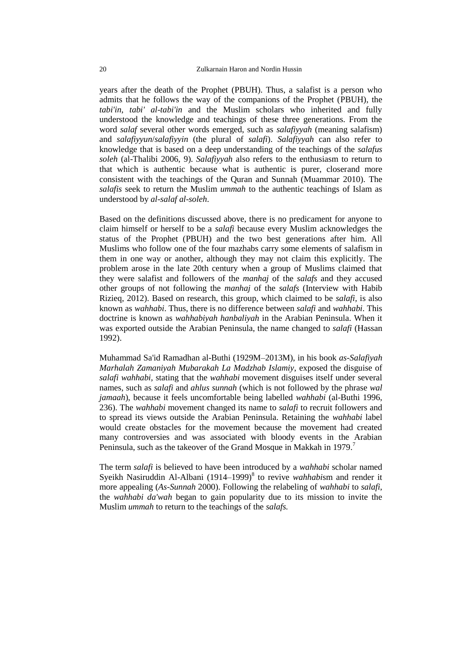years after the death of the Prophet (PBUH). Thus, a salafist is a person who admits that he follows the way of the companions of the Prophet (PBUH), the *tabi'in*, *tabi' al-tabi'in* and the Muslim scholars who inherited and fully understood the knowledge and teachings of these three generations. From the word *salaf* several other words emerged, such as *salafiyyah* (meaning salafism) and *salafiyyun*/*salafiyyin* (the plural of *salafi*). *Salafiyyah* can also refer to knowledge that is based on a deep understanding of the teachings of the *salafus soleh* (al-Thalibi 2006, 9). *Salafiyyah* also refers to the enthusiasm to return to that which is authentic because what is authentic is purer, closerand more consistent with the teachings of the Quran and Sunnah (Muammar 2010). The *salafis* seek to return the Muslim *ummah* to the authentic teachings of Islam as understood by *al-salaf al-soleh*.

Based on the definitions discussed above, there is no predicament for anyone to claim himself or herself to be a *salafi* because every Muslim acknowledges the status of the Prophet (PBUH) and the two best generations after him. All Muslims who follow one of the four mazhabs carry some elements of salafism in them in one way or another, although they may not claim this explicitly. The problem arose in the late 20th century when a group of Muslims claimed that they were salafist and followers of the *manhaj* of the *salafs* and they accused other groups of not following the *manhaj* of the *salafs* (Interview with Habib Rizieq, 2012). Based on research, this group, which claimed to be *salafi,* is also known as *wahhabi*. Thus, there is no difference between *salafi* and *wahhabi*. This doctrine is known as *wahhabiyah hanbaliyah* in the Arabian Peninsula. When it was exported outside the Arabian Peninsula, the name changed to *salafi* (Hassan 1992).

Muhammad Sa'id Ramadhan al-Buthi (1929M–2013M), in his book *as-Salafiyah Marhalah Zamaniyah Mubarakah La Madzhab Islamiy*, exposed the disguise of *salafi wahhabi,* stating that the *wahhabi* movement disguises itself under several names, such as *salafi* and *ahlus sunnah* (which is not followed by the phrase *wal jamaah*), because it feels uncomfortable being labelled *wahhabi* (al-Buthi 1996, 236). The *wahhabi* movement changed its name to *salafi* to recruit followers and to spread its views outside the Arabian Peninsula. Retaining the *wahhabi* label would create obstacles for the movement because the movement had created many controversies and was associated with bloody events in the Arabian Peninsula, such as the takeover of the Grand Mosque in Makkah in 1979.<sup>7</sup>

The term *salafi* is believed to have been introduced by a *wahhabi* scholar named Syeikh Nasiruddin Al-Albani (1914–1999)<sup>8</sup> to revive *wahhabism* and render it more appealing (*As-Sunnah* 2000). Following the relabeling of *wahhabi* to *salafi*, the *wahhabi da'wah* began to gain popularity due to its mission to invite the Muslim *ummah* to return to the teachings of the *salafs.*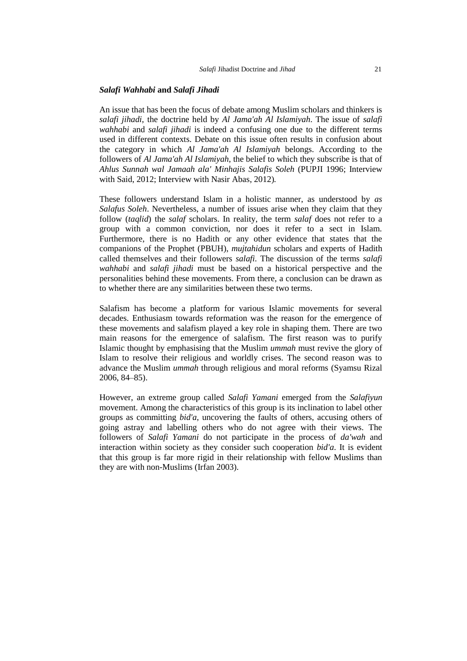#### *Salafi Wahhabi* **and** *Salafi Jihadi*

An issue that has been the focus of debate among Muslim scholars and thinkers is *salafi jihadi*, the doctrine held by *Al Jama'ah Al Islamiyah*. The issue of *salafi wahhabi* and *salafi jihadi* is indeed a confusing one due to the different terms used in different contexts. Debate on this issue often results in confusion about the category in which *Al Jama'ah Al Islamiyah* belongs. According to the followers of *Al Jama'ah Al Islamiyah*, the belief to which they subscribe is that of *Ahlus Sunnah wal Jamaah ala' Minhajis Salafis Soleh* (PUPJI 1996; Interview with Said, 2012; Interview with Nasir Abas, 2012)*.*

These followers understand Islam in a holistic manner, as understood by *as Salafus Soleh*. Nevertheless, a number of issues arise when they claim that they follow (*taqlid*) the *salaf* scholars. In reality, the term *salaf* does not refer to a group with a common conviction, nor does it refer to a sect in Islam. Furthermore, there is no Hadith or any other evidence that states that the companions of the Prophet (PBUH), *mujtahidun* scholars and experts of Hadith called themselves and their followers *salafi.* The discussion of the terms *salafi wahhabi* and *salafi jihadi* must be based on a historical perspective and the personalities behind these movements. From there, a conclusion can be drawn as to whether there are any similarities between these two terms.

Salafism has become a platform for various Islamic movements for several decades. Enthusiasm towards reformation was the reason for the emergence of these movements and salafism played a key role in shaping them. There are two main reasons for the emergence of salafism. The first reason was to purify Islamic thought by emphasising that the Muslim *ummah* must revive the glory of Islam to resolve their religious and worldly crises. The second reason was to advance the Muslim *ummah* through religious and moral reforms (Syamsu Rizal 2006, 84–85).

However, an extreme group called *Salafi Yamani* emerged from the *Salafiyun* movement. Among the characteristics of this group is its inclination to label other groups as committing *bid'a*, uncovering the faults of others, accusing others of going astray and labelling others who do not agree with their views. The followers of *Salafi Yamani* do not participate in the process of *da'wah* and interaction within society as they consider such cooperation *bid'a*. It is evident that this group is far more rigid in their relationship with fellow Muslims than they are with non-Muslims (Irfan 2003).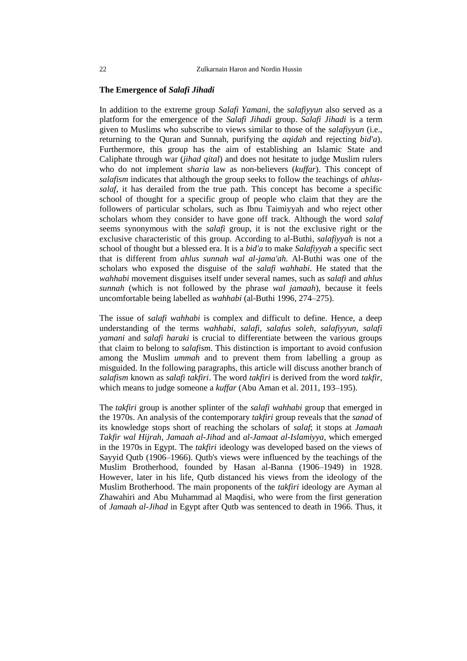## **The Emergence of** *Salafi Jihadi*

In addition to the extreme group *Salafi Yamani*, the *salafiyyun* also served as a platform for the emergence of the *Salafi Jihadi* group. *Salafi Jihadi* is a term given to Muslims who subscribe to views similar to those of the *salafiyyun* (i.e., returning to the Quran and Sunnah, purifying the *aqidah* and rejecting *bid'a*). Furthermore, this group has the aim of establishing an Islamic State and Caliphate through war (*jihad qital*) and does not hesitate to judge Muslim rulers who do not implement *sharia* law as non-believers (*kuffar*). This concept of *salafism* indicates that although the group seeks to follow the teachings of *ahlussalaf*, it has derailed from the true path. This concept has become a specific school of thought for a specific group of people who claim that they are the followers of particular scholars, such as Ibnu Taimiyyah and who reject other scholars whom they consider to have gone off track. Although the word *salaf* seems synonymous with the *salafi* group, it is not the exclusive right or the exclusive characteristic of this group. According to al-Buthi, *salafiyyah* is not a school of thought but a blessed era. It is a *bid'a* to make *Salafiyyah* a specific sect that is different from *ahlus sunnah wal al-jama'ah*. Al-Buthi was one of the scholars who exposed the disguise of the *salafi wahhabi*. He stated that the *wahhabi* movement disguises itself under several names, such as *salafi* and *ahlus sunnah* (which is not followed by the phrase *wal jamaah*), because it feels uncomfortable being labelled as *wahhabi* (al-Buthi 1996, 274–275).

The issue of *salafi wahhabi* is complex and difficult to define. Hence, a deep understanding of the terms *wahhabi*, *salafi*, *salafus soleh*, *salafiyyun*, *salafi yamani* and *salafi haraki* is crucial to differentiate between the various groups that claim to belong to *salafism*. This distinction is important to avoid confusion among the Muslim *ummah* and to prevent them from labelling a group as misguided. In the following paragraphs, this article will discuss another branch of *salafism* known as *salafi takfiri*. The word *takfiri* is derived from the word *takfir,* which means to judge someone a *kuffar* (Abu Aman et al. 2011, 193–195).

The *takfiri* group is another splinter of the *salafi wahhabi* group that emerged in the 1970s. An analysis of the contemporary *takfiri* group reveals that the *sanad* of its knowledge stops short of reaching the scholars of *salaf*; it stops at *Jamaah Takfir wal Hijrah, Jamaah al-Jihad* and *al-Jamaat al-Islamiyya,* which emerged in the 1970s in Egypt. The *takfiri* ideology was developed based on the views of Sayyid Qutb (1906–1966). Qutb's views were influenced by the teachings of the Muslim Brotherhood, founded by Hasan al-Banna (1906–1949) in 1928. However, later in his life, Qutb distanced his views from the ideology of the Muslim Brotherhood. The main proponents of the *takfiri* ideology are Ayman al Zhawahiri and Abu Muhammad al Maqdisi, who were from the first generation of *Jamaah al-Jihad* in Egypt after Qutb was sentenced to death in 1966. Thus, it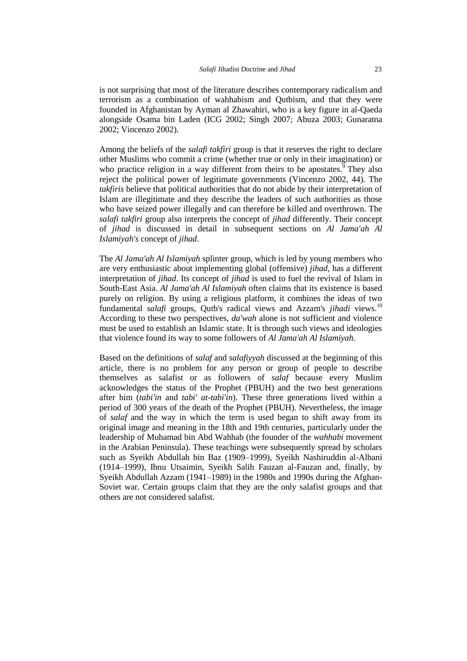is not surprising that most of the literature describes contemporary radicalism and terrorism as a combination of wahhabism and Qutbism, and that they were founded in Afghanistan by Ayman al Zhawahiri, who is a key figure in al-Qaeda alongside Osama bin Laden (ICG 2002; Singh 2007; Abuza 2003; Gunaratna 2002; Vincenzo 2002).

Among the beliefs of the *salafi takfiri* group is that it reserves the right to declare other Muslims who commit a crime (whether true or only in their imagination) or who practice religion in a way different from theirs to be apostates. <sup>9</sup> They also reject the political power of legitimate governments (Vincenzo 2002, 44). The *takfiris* believe that political authorities that do not abide by their interpretation of Islam are illegitimate and they describe the leaders of such authorities as those who have seized power illegally and can therefore be killed and overthrown. The *salafi takfiri* group also interprets the concept of *jihad* differently. Their concept of *jihad* is discussed in detail in subsequent sections on *Al Jama'ah Al Islamiyah's* concept of *jihad*.

The *Al Jama'ah Al Islamiyah* splinter group, which is led by young members who are very enthusiastic about implementing global (offensive) *jihad,* has a different interpretation of *jihad*. Its concept of *jihad* is used to fuel the revival of Islam in South-East Asia. *Al Jama'ah Al Islamiyah* often claims that its existence is based purely on religion. By using a religious platform, it combines the ideas of two fundamental *salafi* groups, Qutb's radical views and Azzam's *jihadi* views. 10 According to these two perspectives, *da'wah* alone is not sufficient and violence must be used to establish an Islamic state. It is through such views and ideologies that violence found its way to some followers of *Al Jama'ah Al Islamiyah*.

Based on the definitions of *salaf* and *salafiyyah* discussed at the beginning of this article, there is no problem for any person or group of people to describe themselves as salafist or as followers of *salaf* because every Muslim acknowledges the status of the Prophet (PBUH) and the two best generations after him (*tabi'in* and *tabi' at-tabi'in*). These three generations lived within a period of 300 years of the death of the Prophet (PBUH). Nevertheless, the image of *salaf* and the way in which the term is used began to shift away from its original image and meaning in the 18th and 19th centuries, particularly under the leadership of Muhamad bin Abd Wahhab (the founder of the *wahhabi* movement in the Arabian Peninsula). These teachings were subsequently spread by scholars such as Syeikh Abdullah bin Baz (1909–1999), Syeikh Nashiruddin al-Albani (1914–1999), Ibnu Utsaimin, Syeikh Salih Fauzan al-Fauzan and, finally, by Syeikh Abdullah Azzam (1941–1989) in the 1980s and 1990s during the Afghan-Soviet war. Certain groups claim that they are the only salafist groups and that others are not considered salafist.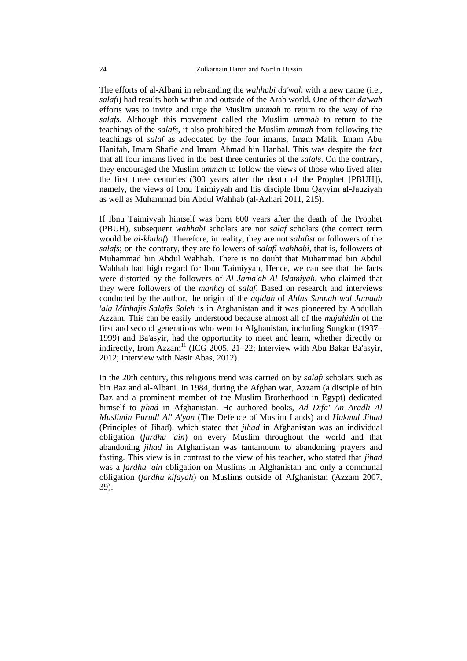The efforts of al-Albani in rebranding the *wahhabi da'wah* with a new name (i.e., *salafi*) had results both within and outside of the Arab world. One of their *da'wah* efforts was to invite and urge the Muslim *ummah* to return to the way of the *salafs*. Although this movement called the Muslim *ummah* to return to the teachings of the *salafs*, it also prohibited the Muslim *ummah* from following the teachings of *salaf* as advocated by the four imams, Imam Malik, Imam Abu Hanifah, Imam Shafie and Imam Ahmad bin Hanbal. This was despite the fact that all four imams lived in the best three centuries of the *salafs*. On the contrary, they encouraged the Muslim *ummah* to follow the views of those who lived after the first three centuries (300 years after the death of the Prophet [PBUH]), namely, the views of Ibnu Taimiyyah and his disciple Ibnu Qayyim al-Jauziyah as well as Muhammad bin Abdul Wahhab (al-Azhari 2011, 215).

If Ibnu Taimiyyah himself was born 600 years after the death of the Prophet (PBUH), subsequent *wahhabi* scholars are not *salaf* scholars (the correct term would be *al-khalaf*). Therefore, in reality, they are not *salafist* or followers of the *salafs*; on the contrary, they are followers of *salafi wahhabi*, that is, followers of Muhammad bin Abdul Wahhab. There is no doubt that Muhammad bin Abdul Wahhab had high regard for Ibnu Taimiyyah, Hence, we can see that the facts were distorted by the followers of *Al Jama'ah Al Islamiyah,* who claimed that they were followers of the *manhaj* of *salaf*. Based on research and interviews conducted by the author, the origin of the *aqidah* of *Ahlus Sunnah wal Jamaah 'ala Minhajis Salafis Soleh* is in Afghanistan and it was pioneered by Abdullah Azzam. This can be easily understood because almost all of the *mujahidin* of the first and second generations who went to Afghanistan, including Sungkar (1937– 1999) and Ba'asyir, had the opportunity to meet and learn, whether directly or indirectly, from Azzam<sup>11</sup> (ICG 2005, 21–22; Interview with Abu Bakar Ba'asyir, 2012; Interview with Nasir Abas, 2012).

In the 20th century, this religious trend was carried on by *salafi* scholars such as bin Baz and al-Albani. In 1984, during the Afghan war, Azzam (a disciple of bin Baz and a prominent member of the Muslim Brotherhood in Egypt) dedicated himself to *jihad* in Afghanistan. He authored books, *Ad Difa' An Aradli Al Muslimin Furudl Al' A'yan* (The Defence of Muslim Lands) and *Hukmul Jihad* (Principles of Jihad), which stated that *jihad* in Afghanistan was an individual obligation (*fardhu 'ain*) on every Muslim throughout the world and that abandoning *jihad* in Afghanistan was tantamount to abandoning prayers and fasting. This view is in contrast to the view of his teacher, who stated that *jihad* was a *fardhu 'ain* obligation on Muslims in Afghanistan and only a communal obligation (*fardhu kifayah*) on Muslims outside of Afghanistan (Azzam 2007, 39).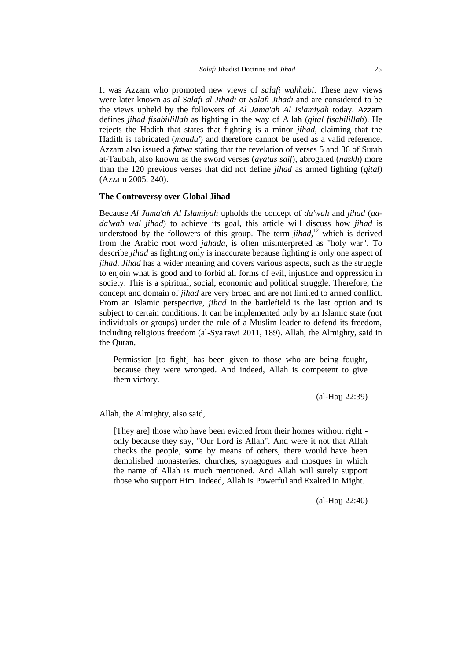It was Azzam who promoted new views of *salafi wahhabi*. These new views were later known as *al Salafi al Jihadi* or *Salafi Jihadi* and are considered to be the views upheld by the followers of *Al Jama'ah Al Islamiyah* today. Azzam defines *jihad fisabillillah* as fighting in the way of Allah (*qital fisabilillah*). He rejects the Hadith that states that fighting is a minor *jihad,* claiming that the Hadith is fabricated (*maudu'*) and therefore cannot be used as a valid reference. Azzam also issued a *fatwa* stating that the revelation of verses 5 and 36 of Surah at-Taubah, also known as the sword verses (*ayatus saif*), abrogated (*naskh*) more than the 120 previous verses that did not define *jihad* as armed fighting (*qital*) (Azzam 2005, 240).

## **The Controversy over Global Jihad**

Because *Al Jama'ah Al Islamiyah* upholds the concept of *da'wah* and *jihad* (*adda'wah wal jihad*) to achieve its goal, this article will discuss how *jihad* is understood by the followers of this group. The term  $jihad$ ,<sup>12</sup> which is derived from the Arabic root word *jahada*, is often misinterpreted as "holy war". To describe *jihad* as fighting only is inaccurate because fighting is only one aspect of *jihad*. *Jihad* has a wider meaning and covers various aspects, such as the struggle to enjoin what is good and to forbid all forms of evil, injustice and oppression in society. This is a spiritual, social, economic and political struggle. Therefore, the concept and domain of *jihad* are very broad and are not limited to armed conflict. From an Islamic perspective, *jihad* in the battlefield is the last option and is subject to certain conditions. It can be implemented only by an Islamic state (not individuals or groups) under the rule of a Muslim leader to defend its freedom, including religious freedom (al-Sya'rawi 2011, 189). Allah, the Almighty, said in the Quran,

Permission [to fight] has been given to those who are being fought, because they were wronged. And indeed, Allah is competent to give them victory.

(al-Hajj 22:39)

Allah, the Almighty, also said,

[They are] those who have been evicted from their homes without right only because they say, "Our Lord is Allah". And were it not that Allah checks the people, some by means of others, there would have been demolished monasteries, churches, synagogues and mosques in which the name of Allah is much mentioned. And Allah will surely support those who support Him. Indeed, Allah is Powerful and Exalted in Might.

(al-Hajj 22:40)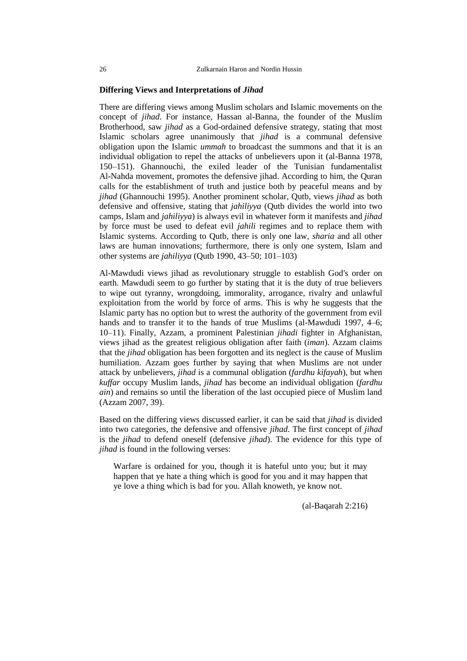#### **Differing Views and Interpretations of** *Jihad*

There are differing views among Muslim scholars and Islamic movements on the concept of *jihad*. For instance, Hassan al-Banna, the founder of the Muslim Brotherhood, saw *jihad* as a God-ordained defensive strategy, stating that most Islamic scholars agree unanimously that *jihad* is a communal defensive obligation upon the Islamic *ummah* to broadcast the summons and that it is an individual obligation to repel the attacks of unbelievers upon it (al-Banna 1978, 150–151). Ghannouchi, the exiled leader of the Tunisian fundamentalist Al-Nahda movement, promotes the defensive jihad. According to him, the Quran calls for the establishment of truth and justice both by peaceful means and by *jihad* (Ghannouchi 1995). Another prominent scholar, Qutb, views *jihad* as both defensive and offensive, stating that *jahiliyya* (Qutb divides the world into two camps, Islam and *jahiliyya*) is always evil in whatever form it manifests and *jihad* by force must be used to defeat evil *jahili* regimes and to replace them with Islamic systems. According to Qutb, there is only one law, *sharia* and all other laws are human innovations; furthermore, there is only one system, Islam and other systems are *jahiliyya* (Qutb 1990, 43–50; 101–103)

Al-Mawdudi views jihad as revolutionary struggle to establish God's order on earth. Mawdudi seem to go further by stating that it is the duty of true believers to wipe out tyranny, wrongdoing, immorality, arrogance, rivalry and unlawful exploitation from the world by force of arms. This is why he suggests that the Islamic party has no option but to wrest the authority of the government from evil hands and to transfer it to the hands of true Muslims (al-Mawdudi 1997, 4–6; 10–11). Finally, Azzam, a prominent Palestinian *jihadi* fighter in Afghanistan, views jihad as the greatest religious obligation after faith (*iman*). Azzam claims that the *jihad* obligation has been forgotten and its neglect is the cause of Muslim humiliation. Azzam goes further by saying that when Muslims are not under attack by unbelievers, *jihad* is a communal obligation (*fardhu kifayah*), but when *kuffar* occupy Muslim lands, *jihad* has become an individual obligation (*fardhu ain*) and remains so until the liberation of the last occupied piece of Muslim land (Azzam 2007, 39).

Based on the differing views discussed earlier, it can be said that *jihad* is divided into two categories, the defensive and offensive *jihad*. The first concept of *jihad* is the *jihad* to defend oneself (defensive *jihad*). The evidence for this type of *jihad* is found in the following verses:

Warfare is ordained for you, though it is hateful unto you; but it may happen that ye hate a thing which is good for you and it may happen that ye love a thing which is bad for you. Allah knoweth, ye know not.

(al-Baqarah 2:216)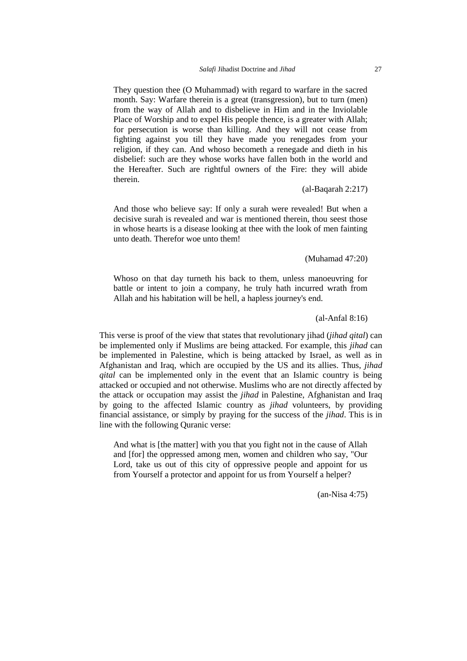They question thee (O Muhammad) with regard to warfare in the sacred month. Say: Warfare therein is a great (transgression), but to turn (men) from the way of Allah and to disbelieve in Him and in the Inviolable Place of Worship and to expel His people thence, is a greater with Allah; for persecution is worse than killing. And they will not cease from fighting against you till they have made you renegades from your religion, if they can. And whoso becometh a renegade and dieth in his disbelief: such are they whose works have fallen both in the world and the Hereafter. Such are rightful owners of the Fire: they will abide therein.

# (al-Baqarah 2:217)

And those who believe say: If only a surah were revealed! But when a decisive surah is revealed and war is mentioned therein, thou seest those in whose hearts is a disease looking at thee with the look of men fainting unto death. Therefor woe unto them!

(Muhamad 47:20)

Whoso on that day turneth his back to them, unless manoeuvring for battle or intent to join a company, he truly hath incurred wrath from Allah and his habitation will be hell, a hapless journey's end.

## (al-Anfal 8:16)

This verse is proof of the view that states that revolutionary jihad (*jihad qital*) can be implemented only if Muslims are being attacked. For example, this *jihad* can be implemented in Palestine, which is being attacked by Israel, as well as in Afghanistan and Iraq, which are occupied by the US and its allies. Thus, *jihad qital* can be implemented only in the event that an Islamic country is being attacked or occupied and not otherwise. Muslims who are not directly affected by the attack or occupation may assist the *jihad* in Palestine, Afghanistan and Iraq by going to the affected Islamic country as *jihad* volunteers, by providing financial assistance, or simply by praying for the success of the *jihad*. This is in line with the following Quranic verse:

And what is [the matter] with you that you fight not in the cause of Allah and [for] the oppressed among men, women and children who say, "Our Lord, take us out of this city of oppressive people and appoint for us from Yourself a protector and appoint for us from Yourself a helper?

(an-Nisa 4:75)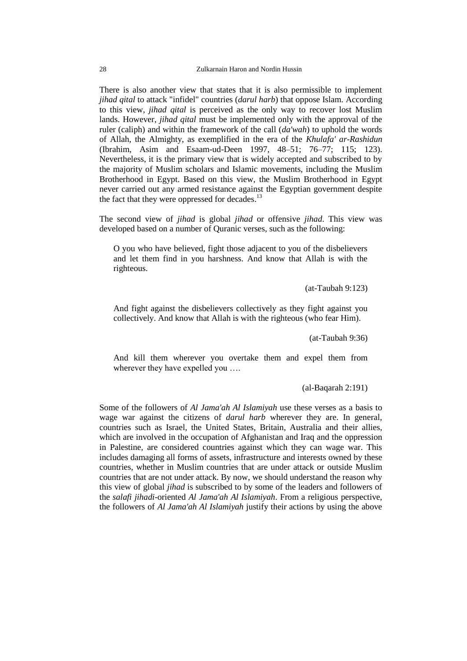There is also another view that states that it is also permissible to implement *jihad qital* to attack "infidel" countries (*darul harb*) that oppose Islam. According to this view, *jihad qital* is perceived as the only way to recover lost Muslim lands. However, *jihad qital* must be implemented only with the approval of the ruler (caliph) and within the framework of the call (*da'wah*) to uphold the words of Allah, the Almighty, as exemplified in the era of the *Khulafa' ar-Rashidun* (Ibrahim, Asim and Esaam-ud-Deen 1997, 48–51; 76–77; 115; 123). Nevertheless, it is the primary view that is widely accepted and subscribed to by the majority of Muslim scholars and Islamic movements, including the Muslim Brotherhood in Egypt. Based on this view, the Muslim Brotherhood in Egypt never carried out any armed resistance against the Egyptian government despite the fact that they were oppressed for decades.<sup>13</sup>

The second view of *jihad* is global *jihad* or offensive *jihad*. This view was developed based on a number of Quranic verses, such as the following:

O you who have believed, fight those adjacent to you of the disbelievers and let them find in you harshness. And know that Allah is with the righteous.

(at-Taubah 9:123)

And fight against the disbelievers collectively as they fight against you collectively. And know that Allah is with the righteous (who fear Him).

(at-Taubah 9:36)

And kill them wherever you overtake them and expel them from wherever they have expelled you ….

(al-Baqarah 2:191)

Some of the followers of *Al Jama'ah Al Islamiyah* use these verses as a basis to wage war against the citizens of *darul harb* wherever they are. In general, countries such as Israel, the United States, Britain, Australia and their allies, which are involved in the occupation of Afghanistan and Iraq and the oppression in Palestine, are considered countries against which they can wage war. This includes damaging all forms of assets, infrastructure and interests owned by these countries, whether in Muslim countries that are under attack or outside Muslim countries that are not under attack. By now, we should understand the reason why this view of global *jihad* is subscribed to by some of the leaders and followers of the *salafi jihadi*-oriented *Al Jama'ah Al Islamiyah*. From a religious perspective, the followers of *Al Jama'ah Al Islamiyah* justify their actions by using the above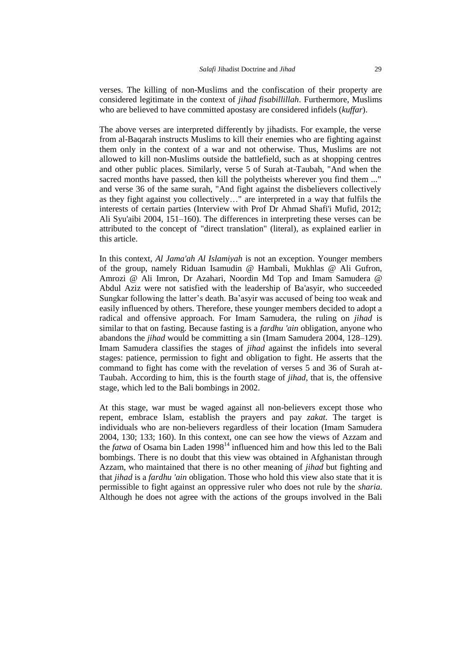verses. The killing of non-Muslims and the confiscation of their property are considered legitimate in the context of *jihad fisabillillah*. Furthermore, Muslims who are believed to have committed apostasy are considered infidels (*kuffar*).

The above verses are interpreted differently by jihadists. For example, the verse from al-Baqarah instructs Muslims to kill their enemies who are fighting against them only in the context of a war and not otherwise. Thus, Muslims are not allowed to kill non-Muslims outside the battlefield, such as at shopping centres and other public places. Similarly, verse 5 of Surah at-Taubah, "And when the sacred months have passed, then kill the polytheists wherever you find them ..." and verse 36 of the same surah, "And fight against the disbelievers collectively as they fight against you collectively…" are interpreted in a way that fulfils the interests of certain parties (Interview with Prof Dr Ahmad Shafi'i Mufid, 2012; Ali Syu'aibi 2004, 151–160). The differences in interpreting these verses can be attributed to the concept of "direct translation" (literal), as explained earlier in this article.

In this context, *Al Jama'ah Al Islamiyah* is not an exception. Younger members of the group, namely Riduan Isamudin @ Hambali, Mukhlas @ Ali Gufron, Amrozi @ Ali Imron, Dr Azahari, Noordin Md Top and Imam Samudera @ Abdul Aziz were not satisfied with the leadership of Ba'asyir, who succeeded Sungkar following the latter's death. Ba'asyir was accused of being too weak and easily influenced by others. Therefore, these younger members decided to adopt a radical and offensive approach. For Imam Samudera, the ruling on *jihad* is similar to that on fasting. Because fasting is a *fardhu 'ain* obligation, anyone who abandons the *jihad* would be committing a sin (Imam Samudera 2004, 128–129). Imam Samudera classifies the stages of *jihad* against the infidels into several stages: patience, permission to fight and obligation to fight. He asserts that the command to fight has come with the revelation of verses 5 and 36 of Surah at-Taubah. According to him, this is the fourth stage of *jihad*, that is, the offensive stage, which led to the Bali bombings in 2002.

At this stage, war must be waged against all non-believers except those who repent, embrace Islam, establish the prayers and pay *zakat*. The target is individuals who are non-believers regardless of their location (Imam Samudera 2004, 130; 133; 160). In this context, one can see how the views of Azzam and the *fatwa* of Osama bin Laden 1998<sup>14</sup> influenced him and how this led to the Bali bombings. There is no doubt that this view was obtained in Afghanistan through Azzam, who maintained that there is no other meaning of *jihad* but fighting and that *jihad* is a *fardhu 'ain* obligation. Those who hold this view also state that it is permissible to fight against an oppressive ruler who does not rule by the *sharia*. Although he does not agree with the actions of the groups involved in the Bali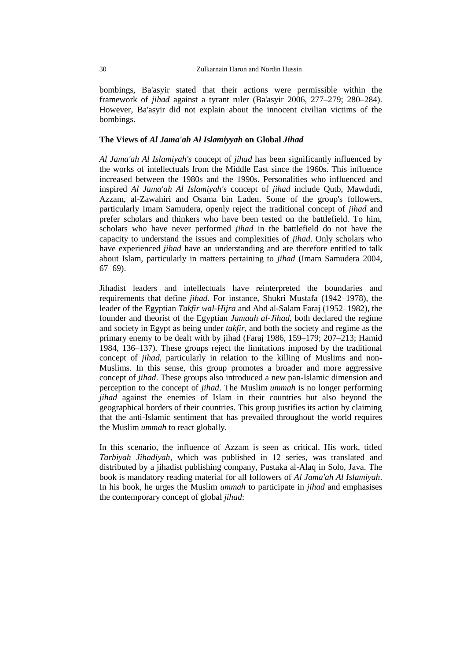bombings, Ba'asyir stated that their actions were permissible within the framework of *jihad* against a tyrant ruler (Ba'asyir 2006, 277–279; 280–284). However, Ba'asyir did not explain about the innocent civilian victims of the bombings.

## **The Views of** *Al Jama'ah Al Islamiyyah* **on Global** *Jihad*

*Al Jama'ah Al Islamiyah's* concept of *jihad* has been significantly influenced by the works of intellectuals from the Middle East since the 1960s. This influence increased between the 1980s and the 1990s. Personalities who influenced and inspired *Al Jama'ah Al Islamiyah's* concept of *jihad* include Qutb, Mawdudi, Azzam, al-Zawahiri and Osama bin Laden. Some of the group's followers, particularly Imam Samudera, openly reject the traditional concept of *jihad* and prefer scholars and thinkers who have been tested on the battlefield. To him, scholars who have never performed *jihad* in the battlefield do not have the capacity to understand the issues and complexities of *jihad*. Only scholars who have experienced *jihad* have an understanding and are therefore entitled to talk about Islam, particularly in matters pertaining to *jihad* (Imam Samudera 2004, 67–69).

Jihadist leaders and intellectuals have reinterpreted the boundaries and requirements that define *jihad*. For instance, Shukri Mustafa (1942–1978), the leader of the Egyptian *Takfir wal-Hijra* and Abd al-Salam Faraj (1952–1982), the founder and theorist of the Egyptian *Jamaah al-Jihad,* both declared the regime and society in Egypt as being under *takfir*, and both the society and regime as the primary enemy to be dealt with by jihad (Faraj 1986, 159–179; 207–213; Hamid 1984, 136–137)*.* These groups reject the limitations imposed by the traditional concept of *jihad,* particularly in relation to the killing of Muslims and non-Muslims. In this sense, this group promotes a broader and more aggressive concept of *jihad*. These groups also introduced a new pan-Islamic dimension and perception to the concept of *jihad*. The Muslim *ummah* is no longer performing *jihad* against the enemies of Islam in their countries but also beyond the geographical borders of their countries. This group justifies its action by claiming that the anti-Islamic sentiment that has prevailed throughout the world requires the Muslim *ummah* to react globally.

In this scenario, the influence of Azzam is seen as critical. His work, titled *Tarbiyah Jihadiyah,* which was published in 12 series, was translated and distributed by a jihadist publishing company, Pustaka al-Alaq in Solo, Java. The book is mandatory reading material for all followers of *Al Jama'ah Al Islamiyah*. In his book, he urges the Muslim *ummah* to participate in *jihad* and emphasises the contemporary concept of global *jihad*: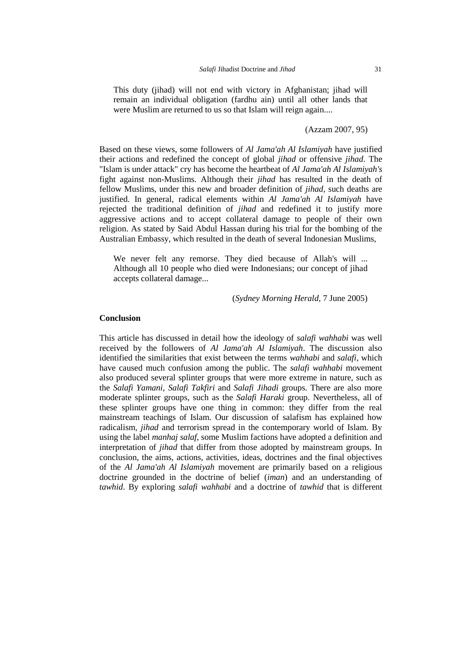This duty (jihad) will not end with victory in Afghanistan; jihad will remain an individual obligation (fardhu ain) until all other lands that were Muslim are returned to us so that Islam will reign again....

(Azzam 2007, 95)

Based on these views, some followers of *Al Jama'ah Al Islamiyah* have justified their actions and redefined the concept of global *jihad* or offensive *jihad*. The "Islam is under attack" cry has become the heartbeat of *Al Jama'ah Al Islamiyah's* fight against non-Muslims. Although their *jihad* has resulted in the death of fellow Muslims, under this new and broader definition of *jihad,* such deaths are justified. In general, radical elements within *Al Jama'ah Al Islamiyah* have rejected the traditional definition of *jihad* and redefined it to justify more aggressive actions and to accept collateral damage to people of their own religion. As stated by Said Abdul Hassan during his trial for the bombing of the Australian Embassy, which resulted in the death of several Indonesian Muslims,

We never felt any remorse. They died because of Allah's will ... Although all 10 people who died were Indonesians; our concept of jihad accepts collateral damage...

(*Sydney Morning Herald*, 7 June 2005)

## **Conclusion**

This article has discussed in detail how the ideology of *salafi wahhabi* was well received by the followers of *Al Jama'ah Al Islamiyah*. The discussion also identified the similarities that exist between the terms *wahhabi* and *salafi*, which have caused much confusion among the public. The *salafi wahhabi* movement also produced several splinter groups that were more extreme in nature, such as the *Salafi Yamani, Salafi Takfiri* and *Salafi Jihadi* groups. There are also more moderate splinter groups, such as the *Salafi Haraki* group. Nevertheless, all of these splinter groups have one thing in common: they differ from the real mainstream teachings of Islam. Our discussion of salafism has explained how radicalism, *jihad* and terrorism spread in the contemporary world of Islam. By using the label *manhaj salaf*, some Muslim factions have adopted a definition and interpretation of *jihad* that differ from those adopted by mainstream groups. In conclusion, the aims, actions, activities, ideas, doctrines and the final objectives of the *Al Jama'ah Al Islamiyah* movement are primarily based on a religious doctrine grounded in the doctrine of belief (*iman*) and an understanding of *tawhid*. By exploring *salafi wahhabi* and a doctrine of *tawhid* that is different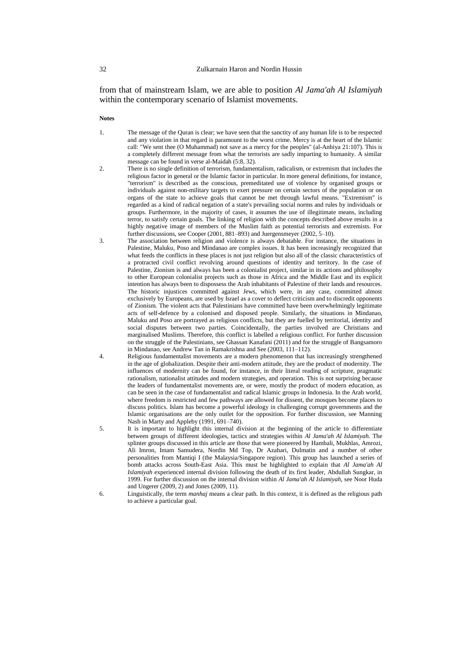from that of mainstream Islam, we are able to position *Al Jama'ah Al Islamiyah* within the contemporary scenario of Islamist movements.

**Notes**

- 1. The message of the Quran is clear; we have seen that the sanctity of any human life is to be respected and any violation in that regard is paramount to the worst crime. Mercy is at the heart of the Islamic call: "We sent thee (O Muhammad) not save as a mercy for the peoples" (al-Anbiya 21:107). This is a completely different message from what the terrorists are sadly imparting to humanity. A similar message can be found in verse al-Maidah (5:8, 32).
- 2. There is no single definition of terrorism, fundamentalism, radicalism, or extremism that includes the religious factor in general or the Islamic factor in particular. In more general definitions, for instance, "terrorism" is described as the conscious, premeditated use of violence by organised groups or individuals against non-military targets to exert pressure on certain sectors of the population or on organs of the state to achieve goals that cannot be met through lawful means. "Extremism" is regarded as a kind of radical negation of a state's prevailing social norms and rules by individuals or groups. Furthermore, in the majority of cases, it assumes the use of illegitimate means, including terror, to satisfy certain goals. The linking of religion with the concepts described above results in a highly negative image of members of the Muslim faith as potential terrorists and extremists. For further discussions, see Cooper (2001, 881–893) and Juergensmeyer (2002, 5–10).
- 3. The association between religion and violence is always debatable. For instance, the situations in Palestine, Maluku, Poso and Mindanao are complex issues. It has been increasingly recognized that what feeds the conflicts in these places is not just religion but also all of the classic characteristics of a protracted civil conflict revolving around questions of identity and territory. In the case of Palestine, Zionism is and always has been a colonialist project, similar in its actions and philosophy to other European colonialist projects such as those in Africa and the Middle East and its explicit intention has always been to dispossess the Arab inhabitants of Palestine of their lands and resources. The historic injustices committed against Jews, which were, in any case, committed almost exclusively by Europeans, are used by Israel as a cover to deflect criticism and to discredit opponents of Zionism. The violent acts that Palestinians have committed have been overwhelmingly legitimate acts of self-defence by a colonised and disposed people. Similarly, the situations in Mindanao, Maluku and Poso are portrayed as religious conflicts, but they are fuelled by territorial, identity and social disputes between two parties. Coincidentally, the parties involved are Christians and marginalised Muslims. Therefore, this conflict is labelled a religious conflict. For further discussion on the struggle of the Palestinians, see Ghassan Kanafani (2011) and for the struggle of Bangsamoro in Mindanao, see Andrew Tan in Ramakrishna and See (2003, 111–112).
- 4. Religious fundamentalist movements are a modern phenomenon that has increasingly strengthened in the age of globalization. Despite their anti-modern attitude, they are the product of modernity. The influences of modernity can be found, for instance, in their literal reading of scripture, pragmatic rationalism, nationalist attitudes and modern strategies, and operation. This is not surprising because the leaders of fundamentalist movements are, or were, mostly the product of modern education, as can be seen in the case of fundamentalist and radical Islamic groups in Indonesia. In the Arab world, where freedom is restricted and few pathways are allowed for dissent, the mosques become places to discuss politics. Islam has become a powerful ideology in challenging corrupt governments and the Islamic organisations are the only outlet for the opposition. For further discussion, see Manning Nash in Marty and Appleby (1991, 691–740).
- 5. It is important to highlight this internal division at the beginning of the article to differentiate between groups of different ideologies, tactics and strategies within *Al Jama'ah Al Islamiyah.* The splinter groups discussed in this article are those that were pioneered by Hambali, Mukhlas, Amrozi, Ali Imron, Imam Samudera, Nordin Md Top, Dr Azahari, Dulmatin and a number of other personalities from Mantiqi I (the Malaysia/Singapore region). This group has launched a series of bomb attacks across South-East Asia. This must be highlighted to explain that *Al Jama'ah Al Islamiyah* experienced internal division following the death of its first leader, Abdullah Sungkar, in 1999. For further discussion on the internal division within *Al Jama'ah Al Islamiyah,* see Noor Huda and Ungerer (2009, 2) and Jones (2009, 11).
- 6. Linguistically, the term *manhaj* means a clear path. In this context, it is defined as the religious path to achieve a particular goal.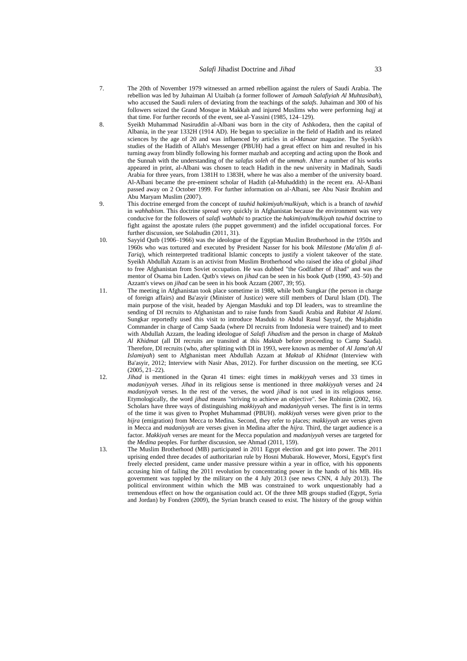- 7. The 20th of November 1979 witnessed an armed rebellion against the rulers of Saudi Arabia. The rebellion was led by Juhaiman Al Utaibah (a former follower of *Jamaah Salafiyiah Al Muhtasibah*), who accused the Saudi rulers of deviating from the teachings of the *salafs*. Juhaiman and 300 of his followers seized the Grand Mosque in Makkah and injured Muslims who were performing *hajj* at that time. For further records of the event, see al-Yassini (1985, 124–129).
- 8. Syeikh Muhammad Nasiruddin al-Albani was born in the city of Ashkodera, then the capital of Albania, in the year 1332H (1914 AD). He began to specialize in the field of Hadith and its related sciences by the age of 20 and was influenced by articles in *al-Manaar* magazine. The Syeikh's studies of the Hadith of Allah's Messenger (PBUH) had a great effect on him and resulted in his turning away from blindly following his former mazhab and accepting and acting upon the Book and the Sunnah with the understanding of the *salafus soleh* of the *ummah*. After a number of his works appeared in print, al-Albani was chosen to teach Hadith in the new university in Madinah, Saudi Arabia for three years, from 1381H to 1383H, where he was also a member of the university board. Al-Albani became the pre-eminent scholar of Hadith (al-Muhaddith) in the recent era. Al-Albani passed away on 2 October 1999. For further information on al-Albani, see Abu Nasir Ibrahim and Abu Maryam Muslim (2007).
- 9. This doctrine emerged from the concept of *tauhid hakimiyah/mulkiyah,* which is a branch of *tawhid* in *wahhabism*. This doctrine spread very quickly in Afghanistan because the environment was very conducive for the followers of *salafi wahhabi* to practice the *hakimiyah/mulkiyah tawhid* doctrine to fight against the apostate rulers (the puppet government) and the infidel occupational forces. For further discussion, see Solahudin (2011, 31).
- 10. Sayyid Qutb (1906–1966) was the ideologue of the Egyptian Muslim Brotherhood in the 1950s and 1960s who was tortured and executed by President Nasser for his book *Milestone (Ma'alim fi al-Tariq*), which reinterpreted traditional Islamic concepts to justify a violent takeover of the state. Syeikh Abdullah Azzam is an activist from Muslim Brotherhood who raised the idea of global *jihad* to free Afghanistan from Soviet occupation. He was dubbed "the Godfather of Jihad" and was the mentor of Osama bin Laden. Qutb's views on *jihad* can be seen in his book *Qutb* (1990, 43–50) and Azzam's views on *jihad* can be seen in his book Azzam (2007, 39; 95).
- 11. The meeting in Afghanistan took place sometime in 1988, while both Sungkar (the person in charge of foreign affairs) and Ba'asyir (Minister of Justice) were still members of Darul Islam (DI). The main purpose of the visit, headed by Ajengan Masduki and top DI leaders, was to streamline the sending of DI recruits to Afghanistan and to raise funds from Saudi Arabia and *Rabitat Al Islami*. Sungkar reportedly used this visit to introduce Masduki to Abdul Rasul Sayyaf, the Mujahidin Commander in charge of Camp Saada (where DI recruits from Indonesia were trained) and to meet with Abdullah Azzam, the leading ideologue of *Salafi Jihadism* and the person in charge of *Maktab Al Khidmat* (all DI recruits are transited at this *Maktab* before proceeding to Camp Saada). Therefore, DI recruits (who, after splitting with DI in 1993, were known as member of *Al Jama'ah Al Islamiyah*) sent to Afghanistan meet Abdullah Azzam at *Maktab al Khidmat* (Interview with Ba'asyir, 2012; Interview with Nasir Abas, 2012). For further discussion on the meeting, see ICG  $(2005, 21-22)$
- 12. *Jihad* is mentioned in the Quran 41 times: eight times in *makkiyyah* verses and 33 times in *madaniyyah* verses. *Jihad* in its religious sense is mentioned in three *makkiyyah* verses and 24 *madaniyyah* verses. In the rest of the verses, the word *jihad* is not used in its religious sense. Etymologically, the word *jihad* means "striving to achieve an objective". See Rohimin (2002, 16). Scholars have three ways of distinguishing *makkiyyah* and *madaniyyah* verses. The first is in terms of the time it was given to Prophet Muhammad (PBUH). *makkiyah* verses were given prior to the *hijra* (emigration) from Mecca to Medina. Second, they refer to places; *makkiyyah* are verses given in Mecca and *madaniyyah* are verses given in Medina after the *hijra.* Third, the target audience is a factor. *Makkiyah* verses are meant for the Mecca population and *madaniyyah* verses are targeted for the *Medina* peoples. For further discussion, see Ahmad (2011, 159).
- 13. The Muslim Brotherhood (MB) participated in 2011 Egypt election and got into power. The 2011 uprising ended three decades of authoritarian rule by Hosni Mubarak. However, Morsi, Egypt's first freely elected president, came under massive pressure within a year in office, with his opponents accusing him of failing the 2011 revolution by concentrating power in the hands of his MB. His government was toppled by the military on the 4 July 2013 (see news CNN, 4 July 2013). The political environment within which the MB was constrained to work unquestionably had a tremendous effect on how the organisation could act. Of the three MB groups studied (Egypt, Syria and Jordan) by Fondren (2009), the Syrian branch ceased to exist. The history of the group within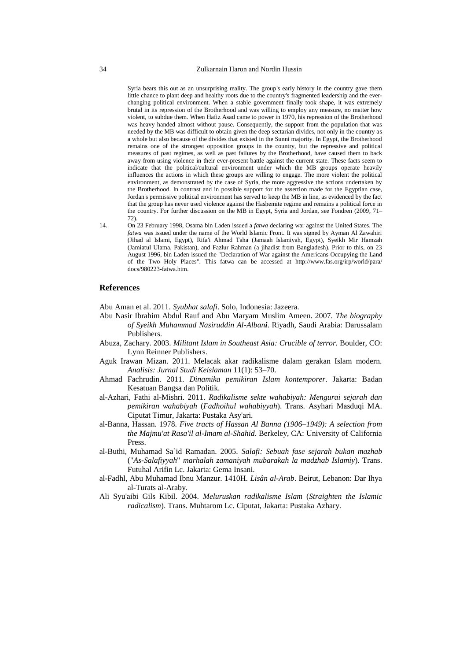Syria bears this out as an unsurprising reality. The group's early history in the country gave them little chance to plant deep and healthy roots due to the country's fragmented leadership and the everchanging political environment. When a stable government finally took shape, it was extremely brutal in its repression of the Brotherhood and was willing to employ any measure, no matter how violent, to subdue them. When Hafiz Asad came to power in 1970, his repression of the Brotherhood was heavy handed almost without pause. Consequently, the support from the population that was needed by the MB was difficult to obtain given the deep sectarian divides, not only in the country as a whole but also because of the divides that existed in the Sunni majority. In Egypt, the Brotherhood remains one of the strongest opposition groups in the country, but the repressive and political measures of past regimes, as well as past failures by the Brotherhood, have caused them to back away from using violence in their ever-present battle against the current state. These facts seem to indicate that the political/cultural environment under which the MB groups operate heavily influences the actions in which these groups are willing to engage. The more violent the political environment, as demonstrated by the case of Syria, the more aggressive the actions undertaken by the Brotherhood. In contrast and in possible support for the assertion made for the Egyptian case, Jordan's permissive political environment has served to keep the MB in line, as evidenced by the fact that the group has never used violence against the Hashemite regime and remains a political force in the country. For further discussion on the MB in Egypt, Syria and Jordan, see Fondren (2009, 71– 72).

14. On 23 February 1998, Osama bin Laden issued a *fatwa* declaring war against the United States. The *fatwa* was issued under the name of the World Islamic Front. It was signed by Ayman Al Zawahiri (Jihad al Islami, Egypt), Rifa'i Ahmad Taha (Jamaah Islamiyah, Egypt), Syeikh Mir Hamzah (Jamiatul Ulama, Pakistan), and Fazlur Rahman (a jihadist from Bangladesh). Prior to this, on 23 August 1996, bin Laden issued the "Declaration of War against the Americans Occupying the Land of the Two Holy Places". This fatwa can be accessed at <http://www.fas.org/irp/world/para/> docs/980223-fatwa.htm.

## **References**

Abu Aman et al. 2011. *Syubhat salafi*. Solo, Indonesia: Jazeera.

- Abu Nasir Ibrahim Abdul Rauf and Abu Maryam Muslim Ameen. 2007. *The biography of Syeikh Muhammad Nasiruddin Al-Albani*. Riyadh, Saudi Arabia: Darussalam Publishers.
- Abuza, Zachary. 2003. *Militant Islam in Southeast Asia: Crucible of terror.* Boulder, CO: Lynn Reinner Publishers.
- Aguk Irawan Mizan. 2011. Melacak akar radikalisme dalam gerakan Islam modern. *Analisis: Jurnal Studi Keislaman* 11(1): 53–70.
- Ahmad Fachrudin. 2011. *Dinamika pemikiran Islam kontemporer*. Jakarta: Badan Kesatuan Bangsa dan Politik.
- al-Azhari, Fathi al-Mishri. 2011. *Radikalisme sekte wahabiyah: Mengurai sejarah dan pemikiran wahabiyah* (*Fadhoihul wahabiyyah*). Trans. Asyhari Masduqi MA. Ciputat Timur, Jakarta: Pustaka Asy'ari.
- al-Banna, Hassan. 1978. *Five tracts of Hassan Al Banna (1906–1949): A selection from the Majmu'at Rasa'il al-Imam al-Shahid*. Berkeley, CA: University of California Press.
- al-Buthi, Muhamad Sa`id Ramadan. 2005. *Salafi: Sebuah fase sejarah bukan mazhab* ("*As-Salafiyyah*" *marhalah zamaniyah mubarakah la madzhab Islamiy*). Trans. Futuhal Arifin Lc. Jakarta: Gema Insani.
- al-Fadhl, Abu Muhamad Ibnu Manzur. 1410H. *Lisân al-Arab*. Beirut, Lebanon: Dar Ihya al-Turats al-Araby.
- Ali Syu'aibi Gils Kibil. 2004. *Meluruskan radikalisme Islam* (*Straighten the Islamic radicalism*). Trans. Muhtarom Lc. Ciputat, Jakarta: Pustaka Azhary.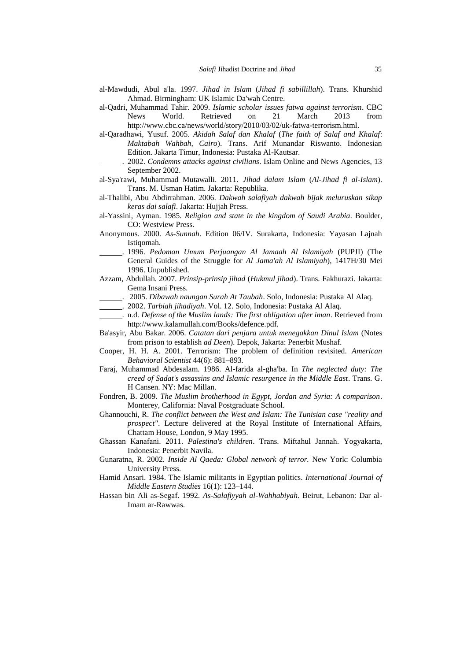- al-Mawdudi, Abul a'la. 1997. *Jihad in Islam* (*Jihad fi sabillillah*). Trans. Khurshid Ahmad. Birmingham: UK Islamic Da'wah Centre.
- al-Qadri, Muhammad Tahir. 2009. *Islamic scholar issues fatwa against terrorism*. CBC News World. Retrieved on 21 March 2013 from http://www.cbc.ca/news/world/story/2010/03/02/uk-fatwa-terrorism.html.
- al-Qaradhawi, Yusuf. 2005. *Akidah Salaf dan Khalaf* (*The faith of Salaf and Khalaf*: *Maktabah Wahbah, Cairo*). Trans. Arif Munandar Riswanto. Indonesian Edition. Jakarta Timur, Indonesia: Pustaka Al-Kautsar.
	- . 2002. *Condemns attacks against civilians*. Islam Online and News Agencies, 13 September 2002.
- al-Sya'rawi, Muhammad Mutawalli. 2011. *Jihad dalam Islam* (*Al-Jihad fi al-Islam*). Trans. M. Usman Hatim. Jakarta: Republika.
- al-Thalibi, Abu Abdirrahman. 2006. *Dakwah salafiyah dakwah bijak meluruskan sikap keras dai salafi*. Jakarta: Hujjah Press.
- al-Yassini, Ayman. 1985. *Religion and state in the kingdom of Saudi Arabia*. Boulder, CO: Westview Press.
- Anonymous. 2000. *As-Sunnah*. Edition 06/IV. Surakarta, Indonesia: Yayasan Lajnah Istiqomah.
- . 1996. *Pedoman Umum Perjuangan Al Jamaah Al Islamiyah* (PUPJI) (The General Guides of the Struggle for *Al Jama'ah Al Islamiyah*), 1417H/30 Mei 1996. Unpublished.
- Azzam, Abdullah. 2007. *Prinsip-prinsip jihad* (*Hukmul jihad*). Trans. Fakhurazi. Jakarta: Gema Insani Press.
- . 2005. *Dibawah naungan Surah At Taubah*. Solo, Indonesia: Pustaka Al Alaq.
- . 2002. *Tarbiah jihadiyah*. Vol. 12. Solo, Indonesia: Pustaka Al Alaq.
- . n.d. *Defense of the Muslim lands: The first obligation after iman*. Retrieved from http://www.kalamullah.com/Books/defence.pdf.
- Ba'asyir, Abu Bakar. 2006. *Catatan dari penjara untuk menegakkan Dinul Islam* (Notes from prison to establish *ad Deen*). Depok, Jakarta: Penerbit Mushaf.
- Cooper, H. H. A. 2001. Terrorism: The problem of definition revisited. *American Behavioral Scientist* 44(6): 881–893*.*
- Faraj, Muhammad Abdesalam. 1986. Al-farida al-gha'ba. In *The neglected duty: The creed of Sadat's assassins and Islamic resurgence in the Middle East*. Trans. G. H Cansen. NY: Mac Millan.
- Fondren, B. 2009. *The Muslim brotherhood in Egypt, Jordan and Syria: A comparison*. Monterey, California: Naval Postgraduate School.
- Ghannouchi, R. *The conflict between the West and Islam: The Tunisian case "reality and prospect"*. Lecture delivered at the Royal Institute of International Affairs, Chattam House, London, 9 May 1995.
- Ghassan Kanafani. 2011. *Palestina's children*. Trans. Miftahul Jannah. Yogyakarta, Indonesia: Penerbit Navila.
- Gunaratna, R. 2002. *Inside Al Qaeda: Global network of terror.* New York: Columbia University Press.
- Hamid Ansari. 1984. The Islamic militants in Egyptian politics. *International Journal of Middle Eastern Studies* 16(1): 123–144.
- Hassan bin Ali as-Segaf. 1992. *As-Salafiyyah al-Wahhabiyah*. Beirut, Lebanon: Dar al-Imam ar-Rawwas.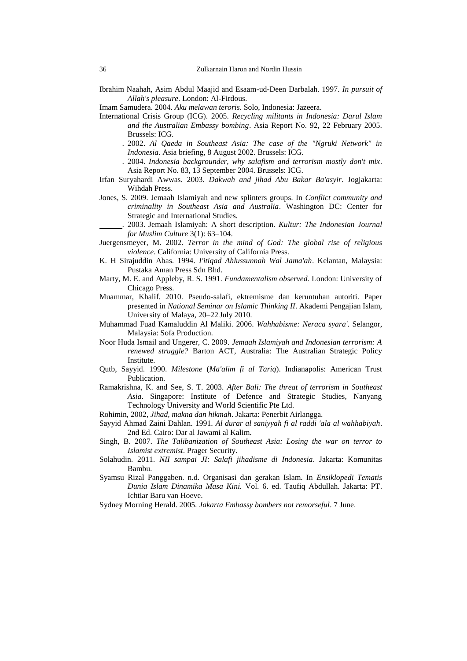Ibrahim Naahah, Asim Abdul Maajid and Esaam-ud-Deen Darbalah. 1997. *In pursuit of Allah's pleasure*. London: Al-Firdous.

Imam Samudera. 2004. *Aku melawan teroris*. Solo, Indonesia: Jazeera.

- International Crisis Group (ICG). 2005. *Recycling militants in Indonesia: Darul Islam and the Australian Embassy bombing*. Asia Report No. 92, 22 February 2005. Brussels: ICG.
- . 2002. *Al Qaeda in Southeast Asia: The case of the "Ngruki Network" in Indonesia*. Asia briefing, 8 August 2002. Brussels: ICG.
- . 2004. *Indonesia backgrounder, why salafism and terrorism mostly don't mix*. Asia Report No. 83, 13 September 2004. Brussels: ICG.
- Irfan Suryahardi Awwas. 2003. *Dakwah and jihad Abu Bakar Ba'asyir*. Jogjakarta: Wihdah Press.
- Jones, S. 2009. Jemaah Islamiyah and new splinters groups. In *Conflict community and criminality in Southeast Asia and Australia*. Washington DC: Center for Strategic and International Studies.
	- . 2003. Jemaah Islamiyah: A short description. *Kultur: The Indonesian Journal for Muslim Culture* 3(1): 63–104.
- Juergensmeyer*,* M. 2002. *Terror in the mind of God: The global rise of religious violence*. California: University of California Press.
- K. H Sirajuddin Abas. 1994. *I'itiqad Ahlussunnah Wal Jama'ah*. Kelantan, Malaysia: Pustaka Aman Press Sdn Bhd.
- Marty, M. E. and Appleby, R. S. 1991. *Fundamentalism observed*. London: University of Chicago Press.
- Muammar, Khalif. 2010. Pseudo-salafi, ektremisme dan keruntuhan autoriti. Paper presented in *National Seminar on Islamic Thinking II*. Akademi Pengajian Islam, University of Malaya, 20–22 July 2010.
- Muhammad Fuad Kamaluddin Al Maliki. 2006. *Wahhabisme: Neraca syara'*. Selangor, Malaysia: Sofa Production.
- Noor Huda Ismail and Ungerer, C. 2009. *Jemaah Islamiyah and Indonesian terrorism: A renewed struggle?* Barton ACT, Australia: The Australian Strategic Policy Institute.
- Qutb, Sayyid. 1990. *Milestone* (*Ma'alim fi al Tariq*). Indianapolis: American Trust Publication.
- Ramakrishna, K. and See, S. T. 2003. *After Bali: The threat of terrorism in Southeast Asia*. Singapore: Institute of Defence and Strategic Studies, Nanyang Technology University and World Scientific Pte Ltd.
- Rohimin, 2002, *Jihad, makna dan hikmah*. Jakarta: Penerbit Airlangga.
- Sayyid Ahmad Zaini Dahlan. 1991. *Al durar al saniyyah fi al raddi 'ala al wahhabiyah*. 2nd Ed. Cairo: Dar al Jawami al Kalim.
- Singh, B. 2007. *The Talibanization of Southeast Asia: Losing the war on terror to Islamist extremist*. Prager Security.
- Solahudin. 2011. *NII sampai JI: Salafi jihadisme di Indonesia*. Jakarta: Komunitas Bambu.
- Syamsu Rizal Panggaben. n.d. Organisasi dan gerakan Islam. In *Ensiklopedi Tematis Dunia Islam Dinamika Masa Kini.* Vol. 6. ed. Taufiq Abdullah. Jakarta: PT. Ichtiar Baru van Hoeve.
- Sydney Morning Herald. 2005. *Jakarta Embassy bombers not remorseful*. 7 June.